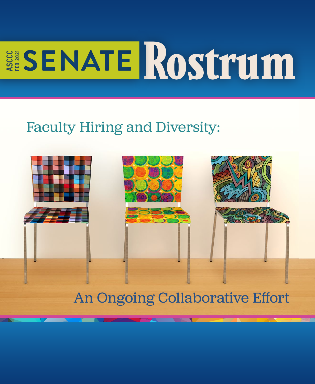# **ESENATE ROSTTUM** FEB 2021

# Faculty Hiring and Diversity:



## An Ongoing Collaborative Effort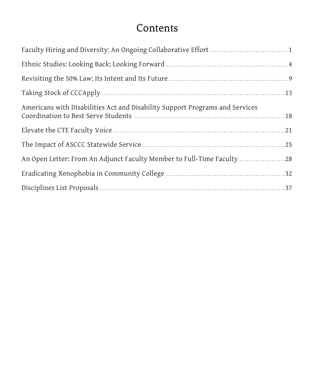### **Contents**

| Americans with Disabilities Act and Disability Support Programs and Services |
|------------------------------------------------------------------------------|
|                                                                              |
|                                                                              |
| An Open Letter: From An Adjunct Faculty Member to Full-Time Faculty 28       |
|                                                                              |
|                                                                              |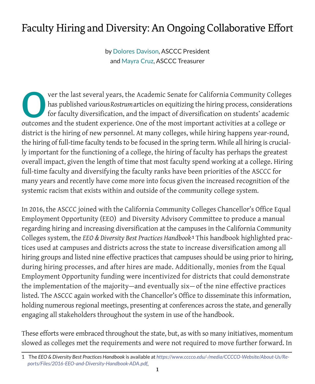### Faculty Hiring and Diversity: An Ongoing Collaborative Effort

by Dolores Davison, ASCCC President and Mayra Cruz, ASCCC Treasurer

Over the last several years, the Academic Senate for California Community Colleges<br>has published various Rostrum articles on equitizing the hiring process, considerations<br>for faculty diversification, and the impact of dive has published various*Rostrum*articles on equitizing the hiring process, considerations for faculty diversification, and the impact of diversification on students' academic outcomes and the student experience. One of the most important activities at a college or district is the hiring of new personnel. At many colleges, while hiring happens year-round, the hiring of full-time faculty tends to be focused in the spring term. While all hiring is crucially important for the functioning of a college, the hiring of faculty has perhaps the greatest overall impact, given the length of time that most faculty spend working at a college. Hiring full-time faculty and diversifying the faculty ranks have been priorities of the ASCCC for many years and recently have come more into focus given the increased recognition of the systemic racism that exists within and outside of the community college system.

In 2016, the ASCCC joined with the California Community Colleges Chancellor's Office Equal Employment Opportunity (EEO) and Diversity Advisory Committee to produce a manual regarding hiring and increasing diversification at the campuses in the California Community Colleges system, the *EEO & Diversity Best Practices Handbook***.1** This handbook highlighted practices used at campuses and districts across the state to increase diversification among all hiring groups and listed nine effective practices that campuses should be using prior to hiring, during hiring processes, and after hires are made. Additionally, monies from the Equal Employment Opportunity funding were incentivized for districts that could demonstrate the implementation of the majority—and eventually six— of the nine effective practices listed. The ASCCC again worked with the Chancellor's Office to disseminate this information, holding numerous regional meetings, presenting at conferences across the state, and generally engaging all stakeholders throughout the system in use of the handbook.

These efforts were embraced throughout the state, but, as with so many initiatives, momentum slowed as colleges met the requirements and were not required to move further forward. In

<sup>1</sup> The *EEO & Diversity Best Practices Handbook* is available at *https://www.cccco.edu/-/media/CCCCO-Website/About-Us/Reports/Files/2016-EEO-and-Diversity-Handbook-ADA.pdf*.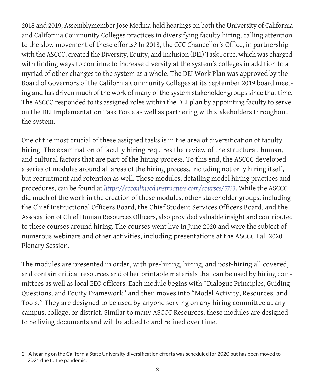2018 and 2019, Assemblymember Jose Medina held hearings on both the University of California and California Community Colleges practices in diversifying faculty hiring, calling attention to the slow movement of these efforts. **<sup>2</sup>** In 2018, the CCC Chancellor's Office, in partnership with the ASCCC, created the Diversity, Equity, and Inclusion (DEI) Task Force, which was charged with finding ways to continue to increase diversity at the system's colleges in addition to a myriad of other changes to the system as a whole. The DEI Work Plan was approved by the Board of Governors of the California Community Colleges at its September 2019 board meeting and has driven much of the work of many of the system stakeholder groups since that time. The ASCCC responded to its assigned roles within the DEI plan by appointing faculty to serve on the DEI Implementation Task Force as well as partnering with stakeholders throughout the system.

One of the most crucial of these assigned tasks is in the area of diversification of faculty hiring. The examination of faculty hiring requires the review of the structural, human, and cultural factors that are part of the hiring process. To this end, the ASCCC developed a series of modules around all areas of the hiring process, including not only hiring itself, but recruitment and retention as well. Those modules, detailing model hiring practices and procedures, can be found at *https://ccconlineed.instructure.com/courses/5733*. While the ASCCC did much of the work in the creation of these modules, other stakeholder groups, including the Chief Instructional Officers Board, the Chief Student Services Officers Board, and the Association of Chief Human Resources Officers, also provided valuable insight and contributed to these courses around hiring. The courses went live in June 2020 and were the subject of numerous webinars and other activities, including presentations at the ASCCC Fall 2020 Plenary Session.

The modules are presented in order, with pre-hiring, hiring, and post-hiring all covered, and contain critical resources and other printable materials that can be used by hiring committees as well as local EEO officers. Each module begins with "Dialogue Principles, Guiding Questions, and Equity Framework" and then moves into "Model Activity, Resources, and Tools." They are designed to be used by anyone serving on any hiring committee at any campus, college, or district. Similar to many ASCCC Resources, these modules are designed to be living documents and will be added to and refined over time.

<sup>2</sup> A hearing on the California State University diversification efforts was scheduled for 2020 but has been moved to 2021 due to the pandemic.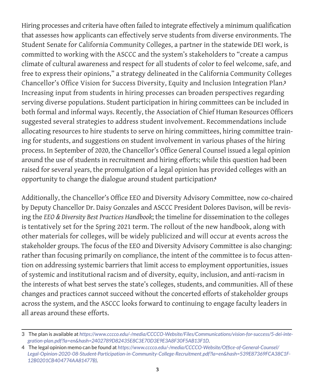Hiring processes and criteria have often failed to integrate effectively a minimum qualification that assesses how applicants can effectively serve students from diverse environments. The Student Senate for California Community Colleges, a partner in the statewide DEI work, is committed to working with the ASCCC and the system's stakeholders to "create a campus climate of cultural awareness and respect for all students of color to feel welcome, safe, and free to express their opinions," a strategy delineated in the California Community Colleges Chancellor's Office Vision for Success Diversity, Equity and Inclusion Integration Plan.**<sup>3</sup>** Increasing input from students in hiring processes can broaden perspectives regarding serving diverse populations. Student participation in hiring committees can be included in both formal and informal ways. Recently, the Association of Chief Human Resources Officers suggested several strategies to address student involvement. Recommendations include allocating resources to hire students to serve on hiring committees, hiring committee training for students, and suggestions on student involvement in various phases of the hiring process. In September of 2020, the Chancellor's Office General Counsel issued a legal opinion around the use of students in recruitment and hiring efforts; while this question had been raised for several years, the promulgation of a legal opinion has provided colleges with an opportunity to change the dialogue around student participation. **4**

Additionally, the Chancellor's Office EEO and Diversity Advisory Committee, now co-chaired by Deputy Chancellor Dr. Daisy Gonzales and ASCCC President Dolores Davison, will be revising the *EEO & Diversity Best Practices Handbook*; the timeline for dissemination to the colleges is tentatively set for the Spring 2021 term. The rollout of the new handbook, along with other materials for colleges, will be widely publicized and will occur at events across the stakeholder groups. The focus of the EEO and Diversity Advisory Committee is also changing: rather than focusing primarily on compliance, the intent of the committee is to focus attention on addressing systemic barriers that limit access to employment opportunities, issues of systemic and institutional racism and of diversity, equity, inclusion, and anti-racism in the interests of what best serves the state's colleges, students, and communities. All of these changes and practices cannot succeed without the concerted efforts of stakeholder groups across the system, and the ASCCC looks forward to continuing to engage faculty leaders in all areas around these efforts.

<sup>3</sup>  The plan is available at *https://www.cccco.edu/-/media/CCCCO-Website/Files/Communications/vision-for-success/5-dei-integration-plan.pdf?la=en&hash=2402789D82435E8C3E70D3E9E3A8F30F5AB13F1D*.

<sup>4</sup>  The legal opinion memo can be found at *https://www.cccco.edu/-/media/CCCCO-Website/Office-of-General-Counsel/ Legal-Opinion-2020-08-Student-Participation-in-Community-College-Recruitment.pdf?la=en&hash=539E87369FCA38C1F-12B0201CB404774AA81477B)*.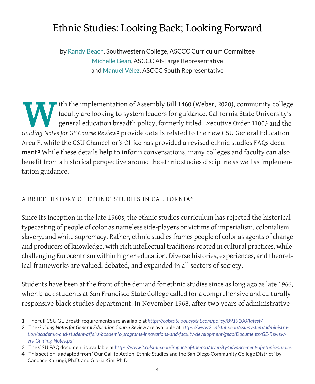### Ethnic Studies: Looking Back; Looking Forward

by Randy Beach, Southwestern College, ASCCC Curriculum Committee Michelle Bean, ASCCC At-Large Representative and Manuel Vélez, ASCCC South Representative

Ith the implementation of Assembly Bill 1460 (Weber, 2020), community college<br>faculty are looking to system leaders for guidance. California State University's<br>general education breadth policy, formerly titled Executive Or faculty are looking to system leaders for guidance. California State University's general education breadth policy, formerly titled Executive Order 1100,**1** and the *Guiding Notes for GE Course Review***2** provide details related to the new CSU General Education Area F, while the CSU Chancellor's Office has provided a revised ethnic studies FAQs document. **<sup>3</sup>** While these details help to inform conversations, many colleges and faculty can also benefit from a historical perspective around the ethnic studies discipline as well as implementation guidance.

#### A BRIEF HISTORY OF ETHNIC STUDIES IN CALIFORNIA**<sup>4</sup>**

Since its inception in the late 1960s, the ethnic studies curriculum has rejected the historical typecasting of people of color as nameless side-players or victims of imperialism, colonialism, slavery, and white supremacy. Rather, ethnic studies frames people of color as agents of change and producers of knowledge, with rich intellectual traditions rooted in cultural practices, while challenging Eurocentrism within higher education. Diverse histories, experiences, and theoretical frameworks are valued, debated, and expanded in all sectors of society.

Students have been at the front of the demand for ethnic studies since as long ago as late 1966, when black students at San Francisco State College called for a comprehensive and culturallyresponsive black studies department. In November 1968, after two years of administrative

<sup>1</sup>  The full CSU GE Breath requirements are available at *https://calstate.policystat.com/policy/8919100/latest/*

<sup>2</sup> The *Guiding Notes for General Education Course Review* are available at h*ttps://www2.calstate.edu/csu-system/administration/academic-and-student-affairs/academic-programs-innovations-and-faculty-development/geac/Documents/GE-Reviewers-Guiding-Notes.pdf*

<sup>3</sup>  The CSU FAQ document is available at *https://www2.calstate.edu/impact-of-the-csu/diversity/advancement-of-ethnic-studies*.

<sup>4</sup>  This section is adapted from "Our Call to Action: Ethnic Studies and the San Diego Community College District" by Candace Katungi, Ph.D. and Gloria Kim, Ph.D.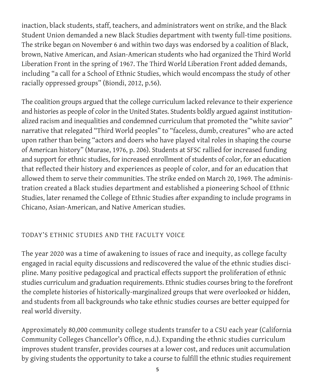inaction, black students, staff, teachers, and administrators went on strike, and the Black Student Union demanded a new Black Studies department with twenty full-time positions. The strike began on November 6 and within two days was endorsed by a coalition of Black, brown, Native American, and Asian-American students who had organized the Third World Liberation Front in the spring of 1967. The Third World Liberation Front added demands, including "a call for a School of Ethnic Studies, which would encompass the study of other racially oppressed groups" (Biondi, 2012, p.56).

The coalition groups argued that the college curriculum lacked relevance to their experience and histories as people of color in the United States. Students boldly argued against institutionalized racism and inequalities and condemned curriculum that promoted the "white savior" narrative that relegated "Third World peoples" to "faceless, dumb, creatures" who are acted upon rather than being "actors and doers who have played vital roles in shaping the course of American history" (Murase, 1976, p. 206). Students at SFSC rallied for increased funding and support for ethnic studies, for increased enrollment of students of color, for an education that reflected their history and experiences as people of color, and for an education that allowed them to serve their communities. The strike ended on March 20, 1969. The administration created a Black studies department and established a pioneering School of Ethnic Studies, later renamed the College of Ethnic Studies after expanding to include programs in Chicano, Asian-American, and Native American studies.

#### TODAY'S ETHNIC STUDIES AND THE FACULTY VOICE

The year 2020 was a time of awakening to issues of race and inequity, as college faculty engaged in racial equity discussions and rediscovered the value of the ethnic studies discipline. Many positive pedagogical and practical effects support the proliferation of ethnic studies curriculum and graduation requirements. Ethnic studies courses bring to the forefront the complete histories of historically-marginalized groups that were overlooked or hidden, and students from all backgrounds who take ethnic studies courses are better equipped for real world diversity.

Approximately 80,000 community college students transfer to a CSU each year (California Community Colleges Chancellor's Office, n.d.). Expanding the ethnic studies curriculum improves student transfer, provides courses at a lower cost, and reduces unit accumulation by giving students the opportunity to take a course to fulfill the ethnic studies requirement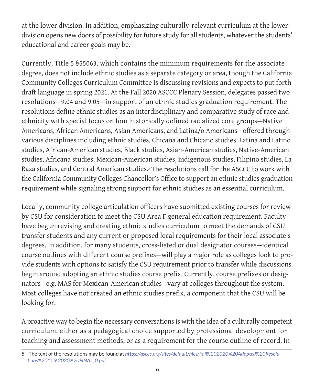at the lower division. In addition, emphasizing culturally-relevant curriculum at the lowerdivision opens new doors of possibility for future study for all students, whatever the students' educational and career goals may be.

Currently, Title 5 §55063, which contains the minimum requirements for the associate degree, does not include ethnic studies as a separate category or area, though the California Community Colleges Curriculum Committee is discussing revisions and expects to put forth draft language in spring 2021. At the Fall 2020 ASCCC Plenary Session, delegates passed two resolutions—9.04 and 9.05—in support of an ethnic studies graduation requirement. The resolutions define ethnic studies as an interdisciplinary and comparative study of race and ethnicity with special focus on four historically defined racialized core groups—Native Americans, African Americans, Asian Americans, and Latina/o Americans—offered through various disciplines including ethnic studies, Chicana and Chicano studies, Latina and Latino studies, African-American studies, Black studies, Asian-American studies, Native-American studies, Africana studies, Mexican-American studies, indigenous studies, Filipino studies, La Raza studies, and Central American studies. **<sup>5</sup>** The resolutions call for the ASCCC to work with the California Community Colleges Chancellor's Office to support an ethnic studies graduation requirement while signaling strong support for ethnic studies as an essential curriculum.

Locally, community college articulation officers have submitted existing courses for review by CSU for consideration to meet the CSU Area F general education requirement. Faculty have begun revising and creating ethnic studies curriculum to meet the demands of CSU transfer students and any current or proposed local requirements for their local associate's degrees. In addition, for many students, cross-listed or dual designator courses—identical course outlines with different course prefixes—will play a major role as colleges look to provide students with options to satisfy the CSU requirement prior to transfer while discussions begin around adopting an ethnic studies course prefix. Currently, course prefixes or designators—e.g. MAS for Mexican-American studies—vary at colleges throughout the system. Most colleges have not created an ethnic studies prefix, a component that the CSU will be looking for.

A proactive way to begin the necessary conversations is with the idea of a culturally competent curriculum, either as a pedagogical choice supported by professional development for teaching and assessment methods, or as a requirement for the course outline of record. In

<sup>5</sup>  The text of the resolutions may be found at *https://asccc.org/sites/default/files/Fall%202020%20Adopted%20Resolutions%2011.9.2020%20FINAL\_0.pdf*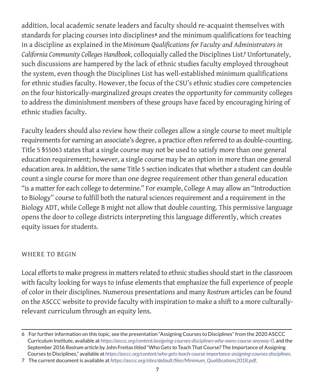addition, local academic senate leaders and faculty should re-acquaint themselves with standards for placing courses into disciplines**6** and the minimum qualifications for teaching in a discipline as explained in the*Minimum Qualifications for Faculty and Administrators in California Community Colleges Handbook*, colloquially called the Disciplines List. **<sup>7</sup>** Unfortunately, such discussions are hampered by the lack of ethnic studies faculty employed throughout the system, even though the Disciplines List has well-established minimum qualifications for ethnic studies faculty. However, the focus of the CSU's ethnic studies core competencies on the four historically-marginalized groups creates the opportunity for community colleges to address the diminishment members of these groups have faced by encouraging hiring of ethnic studies faculty.

Faculty leaders should also review how their colleges allow a single course to meet multiple requirements for earning an associate's degree, a practice often referred to as double-counting. Title 5 §55063 states that a single course may not be used to satisfy more than one general education requirement; however, a single course may be an option in more than one general education area. In addition, the same Title 5 section indicates that whether a student can double count a single course for more than one degree requirement other than general education "is a matter for each college to determine." For example, College A may allow an "Introduction to Biology" course to fulfill both the natural sciences requirement and a requirement in the Biology ADT, while College B might not allow that double counting. This permissive language opens the door to college districts interpreting this language differently, which creates equity issues for students.

#### WHERE TO BEGIN

Local efforts to make progress in matters related to ethnic studies should start in the classroom with faculty looking for ways to infuse elements that emphasize the full experience of people of color in their disciplines. Numerous presentations and many *Rostrum* articles can be found on the ASCCC website to provide faculty with inspiration to make a shift to a more culturallyrelevant curriculum through an equity lens.

<sup>6</sup>  For further information on this topic, see the presentation "Assigning Courses to Disciplines" from the 2020 ASCCC Curriculum Institute, available at *https://asccc.org/content/assigning-courses-disciplines-who-owns-course-anyway-0*, and the September 2016 *Rostrum* article by John Freitas titled "Who Gets to Teach That Course? The Importance of Assigning Courses to Disciplines," available at *https://asccc.org/content/who-gets-teach-course-importance-assigning-courses-disciplines*.

<sup>7</sup>  The current document is available at *https://asccc.org/sites/default/files/Minimum\_Qualifications2018.pdf*.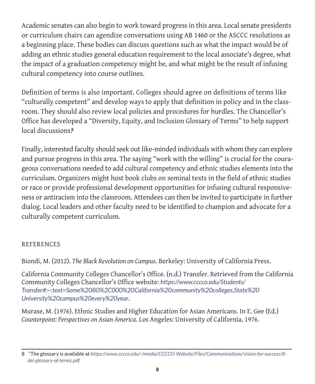Academic senates can also begin to work toward progress in this area. Local senate presidents or curriculum chairs can agendize conversations using AB 1460 or the ASCCC resolutions as a beginning place. These bodies can discuss questions such as what the impact would be of adding an ethnic studies general education requirement to the local associate's degree, what the impact of a graduation competency might be, and what might be the result of infusing cultural competency into course outlines.

Definition of terms is also important. Colleges should agree on definitions of terms like "culturally competent" and develop ways to apply that definition in policy and in the classroom. They should also review local policies and procedures for hurdles. The Chancellor's Office has developed a "Diversity, Equity, and Inclusion Glossary of Terms" to help support local discussions. **8**

Finally, interested faculty should seek out like-minded individuals with whom they can explore and pursue progress in this area. The saying "work with the willing" is crucial for the courageous conversations needed to add cultural competency and ethnic studies elements into the curriculum. Organizers might host book clubs on seminal texts in the field of ethnic studies or race or provide professional development opportunities for infusing cultural responsiveness or antiracism into the classroom. Attendees can then be invited to participate in further dialog. Local leaders and other faculty need to be identified to champion and advocate for a culturally competent curriculum.

#### REFERENCES

Biondi, M. (2012). *The Black Revolution on Campus*. Berkeley: University of California Press.

California Community Colleges Chancellor's Office. (n.d.) Transfer. Retrieved from the California Community Colleges Chancellor's Office website: *https://www.cccco.edu/Students/ Transfer#:~:text=Some%2080%2C000%20California%20community%20colleges,State%20 University%20campus%20every%20year*.

Murase, M. (1976). Ethnic Studies and Higher Education for Asian Americans. In E. Gee (Ed.) *Counterpoint: Perspectives on Asian America*. Los Angeles: University of California, 1976.

<sup>8</sup>  "The glossary is available at *https://www.cccco.edu/-/media/CCCCO-Website/Files/Communications/vision-for-success/8 dei-glossary-of-terms.pdf*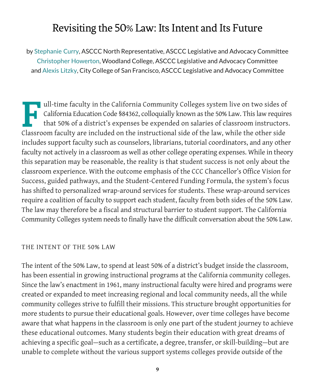### Revisiting the 50% Law: Its Intent and Its Future

by Stephanie Curry, ASCCC North Representative, ASCCC Legislative and Advocacy Committee Christopher Howerton, Woodland College, ASCCC Legislative and Advocacy Committee and Alexis Litzky, City College of San Francisco, ASCCC Legislative and Advocacy Committee

Full-time faculty in the California Community Colleges system live on two sides of<br>California Education Code \$84362, colloquially known as the 50% Law. This law require<br>that 50% of a district's expenses be expended on sala California Education Code §84362, colloquially known as the 50% Law. This law requires that 50% of a district's expenses be expended on salaries of classroom instructors. Classroom faculty are included on the instructional side of the law, while the other side includes support faculty such as counselors, librarians, tutorial coordinators, and any other faculty not actively in a classroom as well as other college operating expenses. While in theory this separation may be reasonable, the reality is that student success is not only about the classroom experience. With the outcome emphasis of the CCC Chancellor's Office Vision for Success, guided pathways, and the Student-Centered Funding Formula, the system's focus has shifted to personalized wrap-around services for students. These wrap-around services require a coalition of faculty to support each student, faculty from both sides of the 50% Law. The law may therefore be a fiscal and structural barrier to student support. The California Community Colleges system needs to finally have the difficult conversation about the 50% Law.

#### THE INTENT OF THE 50% LAW

The intent of the 50% Law, to spend at least 50% of a district's budget inside the classroom, has been essential in growing instructional programs at the California community colleges. Since the law's enactment in 1961, many instructional faculty were hired and programs were created or expanded to meet increasing regional and local community needs, all the while community colleges strive to fulfill their missions. This structure brought opportunities for more students to pursue their educational goals. However, over time colleges have become aware that what happens in the classroom is only one part of the student journey to achieve these educational outcomes. Many students begin their education with great dreams of achieving a specific goal—such as a certificate, a degree, transfer, or skill-building—but are unable to complete without the various support systems colleges provide outside of the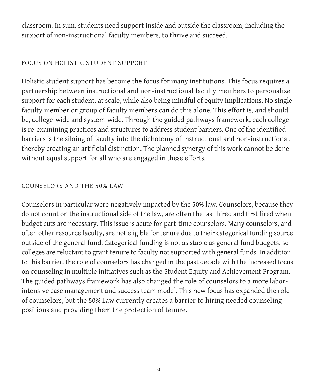classroom. In sum, students need support inside and outside the classroom, including the support of non-instructional faculty members, to thrive and succeed.

#### FOCUS ON HOLISTIC STUDENT SUPPORT

Holistic student support has become the focus for many institutions. This focus requires a partnership between instructional and non-instructional faculty members to personalize support for each student, at scale, while also being mindful of equity implications. No single faculty member or group of faculty members can do this alone. This effort is, and should be, college-wide and system-wide. Through the guided pathways framework, each college is re-examining practices and structures to address student barriers. One of the identified barriers is the siloing of faculty into the dichotomy of instructional and non-instructional, thereby creating an artificial distinction. The planned synergy of this work cannot be done without equal support for all who are engaged in these efforts.

#### COUNSELORS AND THE 50% LAW

Counselors in particular were negatively impacted by the 50% law. Counselors, because they do not count on the instructional side of the law, are often the last hired and first fired when budget cuts are necessary. This issue is acute for part-time counselors. Many counselors, and often other resource faculty, are not eligible for tenure due to their categorical funding source outside of the general fund. Categorical funding is not as stable as general fund budgets, so colleges are reluctant to grant tenure to faculty not supported with general funds. In addition to this barrier, the role of counselors has changed in the past decade with the increased focus on counseling in multiple initiatives such as the Student Equity and Achievement Program. The guided pathways framework has also changed the role of counselors to a more laborintensive case management and success team model. This new focus has expanded the role of counselors, but the 50% Law currently creates a barrier to hiring needed counseling positions and providing them the protection of tenure.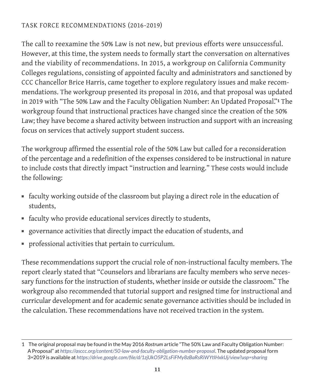#### TASK FORCE RECOMMENDATIONS (2016-2019)

The call to reexamine the 50% Law is not new, but previous efforts were unsuccessful. However, at this time, the system needs to formally start the conversation on alternatives and the viability of recommendations. In 2015, a workgroup on California Community Colleges regulations, consisting of appointed faculty and administrators and sanctioned by CCC Chancellor Brice Harris, came together to explore regulatory issues and make recommendations. The workgroup presented its proposal in 2016, and that proposal was updated in 2019 with "The 50% Law and the Faculty Obligation Number: An Updated Proposal."**1** The workgroup found that instructional practices have changed since the creation of the 50% Law; they have become a shared activity between instruction and support with an increasing focus on services that actively support student success.

The workgroup affirmed the essential role of the 50% Law but called for a reconsideration of the percentage and a redefinition of the expenses considered to be instructional in nature to include costs that directly impact "instruction and learning." These costs would include the following:

- faculty working outside of the classroom but playing a direct role in the education of students,
- faculty who provide educational services directly to students,
- governance activities that directly impact the education of students, and
- professional activities that pertain to curriculum.

These recommendations support the crucial role of non-instructional faculty members. The report clearly stated that "Counselors and librarians are faculty members who serve necessary functions for the instruction of students, whether inside or outside the classroom." The workgroup also recommended that tutorial support and resigned time for instructional and curricular development and for academic senate governance activities should be included in the calculation. These recommendations have not received traction in the system.

<sup>1</sup>  The original proposal may be found in the May 2016 *Rostrum* article "The 50% Law and Faculty Obligation Number: A Proposal" at *https://asccc.org/content/50-law-and-faculty-obligation-number-proposal*. The updated proposal form 3=2019 is available at *https://drive.google.com/file/d/1zjUkO5P2LsFiFMy8zBaRsRiWYtIHxkUj/view?usp=sharing*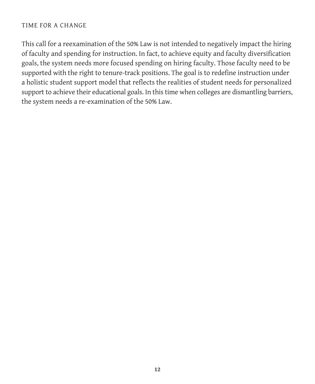#### TIME FOR A CHANGE

This call for a reexamination of the 50% Law is not intended to negatively impact the hiring of faculty and spending for instruction. In fact, to achieve equity and faculty diversification goals, the system needs more focused spending on hiring faculty. Those faculty need to be supported with the right to tenure-track positions. The goal is to redefine instruction under a holistic student support model that reflects the realities of student needs for personalized support to achieve their educational goals. In this time when colleges are dismantling barriers, the system needs a re-examination of the 50% Law.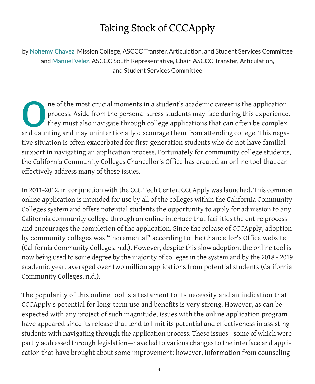### Taking Stock of CCCApply

by Nohemy Chavez, Mission College, ASCCC Transfer, Articulation, and Student Services Committee and Manuel Vélez, ASCCC South Representative, Chair, ASCCC Transfer, Articulation, and Student Services Committee

One of the most crucial moments in a student's academic career is the application<br>process. Aside from the personal stress students may face during this experience<br>they must also navigate through college applications that c process. Aside from the personal stress students may face during this experience, they must also navigate through college applications that can often be complex and daunting and may unintentionally discourage them from attending college. This negative situation is often exacerbated for first-generation students who do not have familial support in navigating an application process. Fortunately for community college students, the California Community Colleges Chancellor's Office has created an online tool that can effectively address many of these issues.

In 2011-2012, in conjunction with the CCC Tech Center, CCCApply was launched. This common online application is intended for use by all of the colleges within the California Community Colleges system and offers potential students the opportunity to apply for admission to any California community college through an online interface that facilities the entire process and encourages the completion of the application. Since the release of CCCApply, adoption by community colleges was "incremental" according to the Chancellor's Office website (California Community Colleges, n.d.). However, despite this slow adoption, the online tool is now being used to some degree by the majority of colleges in the system and by the 2018 - 2019 academic year, averaged over two million applications from potential students (California Community Colleges, n.d.).

The popularity of this online tool is a testament to its necessity and an indication that CCCApply's potential for long-term use and benefits is very strong. However, as can be expected with any project of such magnitude, issues with the online application program have appeared since its release that tend to limit its potential and effectiveness in assisting students with navigating through the application process. These issues—some of which were partly addressed through legislation—have led to various changes to the interface and application that have brought about some improvement; however, information from counseling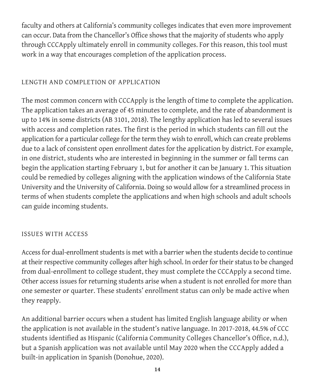faculty and others at California's community colleges indicates that even more improvement can occur. Data from the Chancellor's Office shows that the majority of students who apply through CCCApply ultimately enroll in community colleges. For this reason, this tool must work in a way that encourages completion of the application process.

#### LENGTH AND COMPLETION OF APPLICATION

The most common concern with CCCApply is the length of time to complete the application. The application takes an average of 45 minutes to complete, and the rate of abandonment is up to 14% in some districts (AB 3101, 2018). The lengthy application has led to several issues with access and completion rates. The first is the period in which students can fill out the application for a particular college for the term they wish to enroll, which can create problems due to a lack of consistent open enrollment dates for the application by district. For example, in one district, students who are interested in beginning in the summer or fall terms can begin the application starting February 1, but for another it can be January 1. This situation could be remedied by colleges aligning with the application windows of the California State University and the University of California. Doing so would allow for a streamlined process in terms of when students complete the applications and when high schools and adult schools can guide incoming students.

#### ISSUES WITH ACCESS

Access for dual-enrollment students is met with a barrier when the students decide to continue at their respective community colleges after high school. In order for their status to be changed from dual-enrollment to college student, they must complete the CCCApply a second time. Other access issues for returning students arise when a student is not enrolled for more than one semester or quarter. These students' enrollment status can only be made active when they reapply.

An additional barrier occurs when a student has limited English language ability or when the application is not available in the student's native language. In 2017-2018, 44.5% of CCC students identified as Hispanic (California Community Colleges Chancellor's Office, n.d.), but a Spanish application was not available until May 2020 when the CCCApply added a built-in application in Spanish (Donohue, 2020).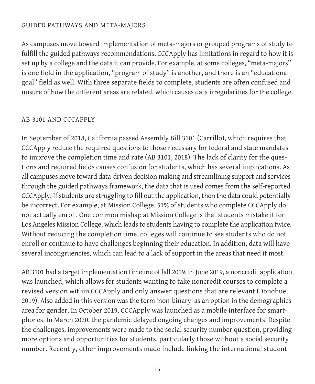#### GUIDED PATHWAYS AND META-MAJORS

As campuses move toward implementation of meta-majors or grouped programs of study to fulfill the guided pathways recommendations, CCCApply has limitations in regard to how it is set up by a college and the data it can provide. For example, at some colleges, "meta-majors" is one field in the application, "program of study" is another, and there is an "educational goal" field as well. With three separate fields to complete, students are often confused and unsure of how the different areas are related, which causes data irregularities for the college.

#### AB 3101 AND CCCAPPLY

In September of 2018, California passed Assembly Bill 3101 (Carrillo), which requires that CCCApply reduce the required questions to those necessary for federal and state mandates to improve the completion time and rate (AB 3101, 2018). The lack of clarity for the questions and required fields causes confusion for students, which has several implications. As all campuses move toward data-driven decision making and streamlining support and services through the guided pathways framework, the data that is used comes from the self-reported CCCApply. If students are struggling to fill out the application, then the data could potentially be incorrect. For example, at Mission College, 51% of students who complete CCCApply do not actually enroll. One common mishap at Mission College is that students mistake it for Los Angeles Mission College, which leads to students having to complete the application twice. Without reducing the completion time, colleges will continue to see students who do not enroll or continue to have challenges beginning their education. In addition, data will have several incongruencies, which can lead to a lack of support in the areas that need it most.

AB 3101 had a target implementation timeline of fall 2019. In June 2019, a noncredit application was launched, which allows for students wanting to take noncredit courses to complete a revised version within CCCApply and only answer questions that are relevant (Donohue, 2019). Also added in this version was the term 'non-binary' as an option in the demographics area for gender. In October 2019, CCCApply was launched as a mobile interface for smartphones. In March 2020, the pandemic delayed ongoing changes and improvements. Despite the challenges, improvements were made to the social security number question, providing more options and opportunities for students, particularly those without a social security number. Recently, other improvements made include linking the international student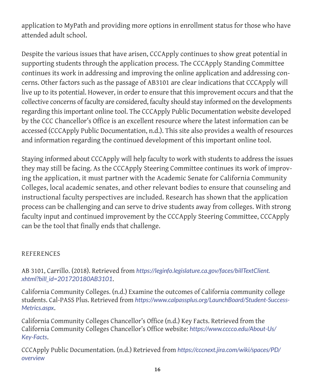application to MyPath and providing more options in enrollment status for those who have attended adult school.

Despite the various issues that have arisen, CCCApply continues to show great potential in supporting students through the application process. The CCCApply Standing Committee continues its work in addressing and improving the online application and addressing concerns. Other factors such as the passage of AB3101 are clear indications that CCCApply will live up to its potential. However, in order to ensure that this improvement occurs and that the collective concerns of faculty are considered, faculty should stay informed on the developments regarding this important online tool. The CCCApply Public Documentation website developed by the CCC Chancellor's Office is an excellent resource where the latest information can be accessed (CCCApply Public Documentation, n.d.). This site also provides a wealth of resources and information regarding the continued development of this important online tool.

Staying informed about CCCApply will help faculty to work with students to address the issues they may still be facing. As the CCCApply Steering Committee continues its work of improving the application, it must partner with the Academic Senate for California Community Colleges, local academic senates, and other relevant bodies to ensure that counseling and instructional faculty perspectives are included. Research has shown that the application process can be challenging and can serve to drive students away from colleges. With strong faculty input and continued improvement by the CCCApply Steering Committee, CCCApply can be the tool that finally ends that challenge.

#### **REFERENCES**

AB 3101, Carrillo. (2018). Retrieved from *https://leginfo.legislature.ca.gov/faces/billTextClient. xhtml?bill\_id=201720180AB3101*.

California Community Colleges. (n.d.) Examine the outcomes of California community college students. Cal-PASS Plus. Retrieved from *https://www.calpassplus.org/LaunchBoard/Student-Success-Metrics.aspx*.

California Community Colleges Chancellor's Office (n.d.) Key Facts. Retrieved from the California Community Colleges Chancellor's Office website: *https://www.cccco.edu/About-Us/ Key-Facts*.

CCCApply Public Documentation. (n.d.) Retrieved from *https://cccnext.jira.com/wiki/spaces/PD/ overview*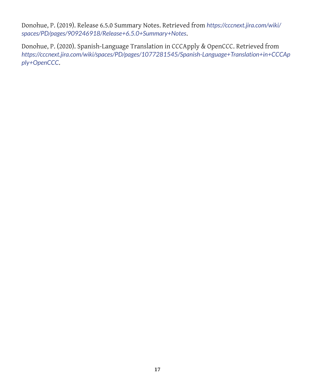Donohue, P. (2019). Release 6.5.0 Summary Notes. Retrieved from *https://cccnext.jira.com/wiki/ spaces/PD/pages/909246918/Release+6.5.0+Summary+Notes*.

Donohue, P. (2020). Spanish-Language Translation in CCCApply & OpenCCC. Retrieved from *https://cccnext.jira.com/wiki/spaces/PD/pages/1077281545/Spanish-Language+Translation+in+CCCAp ply+OpenCCC*.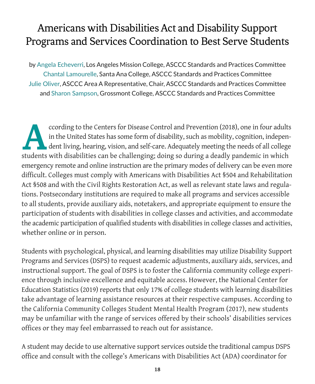### Americans with Disabilities Act and Disability Support Programs and Services Coordination to Best Serve Students

by Angela Echeverri, Los Angeles Mission College, ASCCC Standards and Practices Committee Chantal Lamourelle, Santa Ana College, ASCCC Standards and Practices Committee Julie Oliver, ASCCC Area A Representative, Chair, ASCCC Standards and Practices Committee and Sharon Sampson, Grossmont College, ASCCC Standards and Practices Committee

ccording to the Centers for Disease Control and Prevention (2018), one in four adults<br>in the United States has some form of disability, such as mobility, cognition, independent<br>length disabilities can be challenging: doing in the United States has some form of disability, such as mobility, cognition, independent living, hearing, vision, and self-care. Adequately meeting the needs of all college students with disabilities can be challenging; doing so during a deadly pandemic in which emergency remote and online instruction are the primary modes of delivery can be even more difficult. Colleges must comply with Americans with Disabilities Act §504 and Rehabilitation Act §508 and with the Civil Rights Restoration Act, as well as relevant state laws and regulations. Postsecondary institutions are required to make all programs and services accessible to all students, provide auxiliary aids, notetakers, and appropriate equipment to ensure the participation of students with disabilities in college classes and activities, and accommodate the academic participation of qualified students with disabilities in college classes and activities, whether online or in person.

Students with psychological, physical, and learning disabilities may utilize Disability Support Programs and Services (DSPS) to request academic adjustments, auxiliary aids, services, and instructional support. The goal of DSPS is to foster the California community college experience through inclusive excellence and equitable access. However, the National Center for Education Statistics (2019) reports that only 17% of college students with learning disabilities take advantage of learning assistance resources at their respective campuses. According to the California Community Colleges Student Mental Health Program (2017), new students may be unfamiliar with the range of services offered by their schools' disabilities services offices or they may feel embarrassed to reach out for assistance.

A student may decide to use alternative support services outside the traditional campus DSPS office and consult with the college's Americans with Disabilities Act (ADA) coordinator for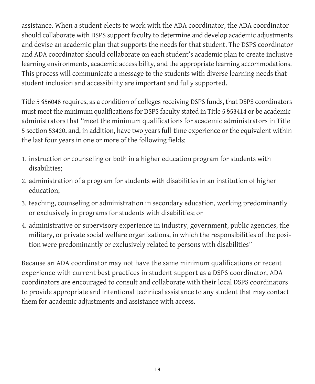assistance. When a student elects to work with the ADA coordinator, the ADA coordinator should collaborate with DSPS support faculty to determine and develop academic adjustments and devise an academic plan that supports the needs for that student. The DSPS coordinator and ADA coordinator should collaborate on each student's academic plan to create inclusive learning environments, academic accessibility, and the appropriate learning accommodations. This process will communicate a message to the students with diverse learning needs that student inclusion and accessibility are important and fully supported.

Title 5 §56048 requires, as a condition of colleges receiving DSPS funds, that DSPS coordinators must meet the minimum qualifications for DSPS faculty stated in Title 5 §53414 or be academic administrators that "meet the minimum qualifications for academic administrators in Title 5 section 53420, and, in addition, have two years full-time experience or the equivalent within the last four years in one or more of the following fields:

- 1. instruction or counseling or both in a higher education program for students with disabilities;
- 2. administration of a program for students with disabilities in an institution of higher education;
- 3. teaching, counseling or administration in secondary education, working predominantly or exclusively in programs for students with disabilities; or
- 4. administrative or supervisory experience in industry, government, public agencies, the military, or private social welfare organizations, in which the responsibilities of the position were predominantly or exclusively related to persons with disabilities"

Because an ADA coordinator may not have the same minimum qualifications or recent experience with current best practices in student support as a DSPS coordinator, ADA coordinators are encouraged to consult and collaborate with their local DSPS coordinators to provide appropriate and intentional technical assistance to any student that may contact them for academic adjustments and assistance with access.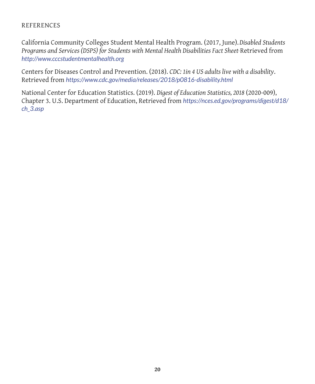#### REFERENCES

California Community Colleges Student Mental Health Program. (2017, June).*Disabled Students Programs and Services (DSPS) for Students with Mental Health Disabilities Fact Sheet***.** Retrieved from *http://www.cccstudentmentalhealth.org*

Centers for Diseases Control and Prevention. (2018). *CDC: 1in 4 US adults live with a disability*. Retrieved from *https://www.cdc.gov/media/releases/2018/p0816-disability.html*

National Center for Education Statistics. (2019). *Digest of Education Statistics, 2018* (2020-009), Chapter 3. U.S. Department of Education, Retrieved from *https://nces.ed.gov/programs/digest/d18/ ch\_3.asp*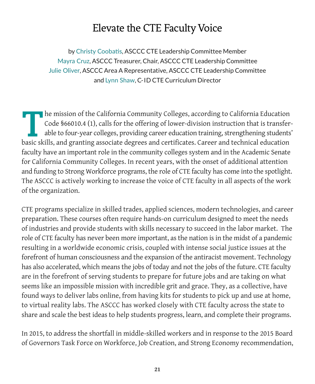### Elevate the CTE Faculty Voice

by Christy Coobatis, ASCCC CTE Leadership Committee Member Mayra Cruz, ASCCC Treasurer, Chair, ASCCC CTE Leadership Committee Julie Oliver, ASCCC Area A Representative, ASCCC CTE Leadership Committee and Lynn Shaw, C- ID CTE Curriculum Director

The mission of the California Community Colleges, according to California Education<br>Code §66010.4 (1), calls for the offering of lower-division instruction that is transfer-<br>able to four-year colleges, providing career edu Code §66010.4 (1), calls for the offering of lower-division instruction that is transferable to four-year colleges, providing career education training, strengthening students' basic skills, and granting associate degrees and certificates. Career and technical education faculty have an important role in the community colleges system and in the Academic Senate for California Community Colleges. In recent years, with the onset of additional attention and funding to Strong Workforce programs, the role of CTE faculty has come into the spotlight. The ASCCC is actively working to increase the voice of CTE faculty in all aspects of the work of the organization.

CTE programs specialize in skilled trades, applied sciences, modern technologies, and career preparation. These courses often require hands-on curriculum designed to meet the needs of industries and provide students with skills necessary to succeed in the labor market. The role of CTE faculty has never been more important, as the nation is in the midst of a pandemic resulting in a worldwide economic crisis, coupled with intense social justice issues at the forefront of human consciousness and the expansion of the antiracist movement. Technology has also accelerated, which means the jobs of today and not the jobs of the future. CTE faculty are in the forefront of serving students to prepare for future jobs and are taking on what seems like an impossible mission with incredible grit and grace. They, as a collective, have found ways to deliver labs online, from having kits for students to pick up and use at home, to virtual reality labs. The ASCCC has worked closely with CTE faculty across the state to share and scale the best ideas to help students progress, learn, and complete their programs.

In 2015, to address the shortfall in middle-skilled workers and in response to the 2015 Board of Governors Task Force on Workforce, Job Creation, and Strong Economy recommendation,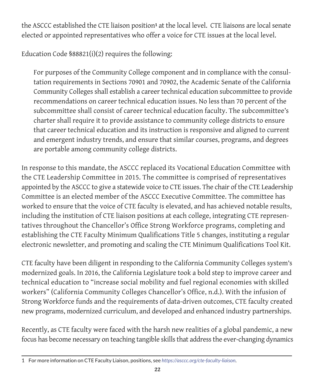the ASCCC established the CTE liaison position**1** at the local level. CTE liaisons are local senate elected or appointed representatives who offer a voice for CTE issues at the local level.

Education Code §88821(i)(2) requires the following:

For purposes of the Community College component and in compliance with the consultation requirements in Sections 70901 and 70902, the Academic Senate of the California Community Colleges shall establish a career technical education subcommittee to provide recommendations on career technical education issues. No less than 70 percent of the subcommittee shall consist of career technical education faculty. The subcommittee's charter shall require it to provide assistance to community college districts to ensure that career technical education and its instruction is responsive and aligned to current and emergent industry trends, and ensure that similar courses, programs, and degrees are portable among community college districts.

In response to this mandate, the ASCCC replaced its Vocational Education Committee with the CTE Leadership Committee in 2015. The committee is comprised of representatives appointed by the ASCCC to give a statewide voice to CTE issues. The chair of the CTE Leadership Committee is an elected member of the ASCCC Executive Committee. The committee has worked to ensure that the voice of CTE faculty is elevated, and has achieved notable results, including the institution of CTE liaison positions at each college, integrating CTE representatives throughout the Chancellor's Office Strong Workforce programs, completing and establishing the CTE Faculty Minimum Qualifications Title 5 changes, instituting a regular electronic newsletter, and promoting and scaling the CTE Minimum Qualifications Tool Kit.

CTE faculty have been diligent in responding to the California Community Colleges system's modernized goals. In 2016, the California Legislature took a bold step to improve career and technical education to "increase social mobility and fuel regional economies with skilled workers" (California Community Colleges Chancellor's Office, n.d.). With the infusion of Strong Workforce funds and the requirements of data-driven outcomes, CTE faculty created new programs, modernized curriculum, and developed and enhanced industry partnerships.

Recently, as CTE faculty were faced with the harsh new realities of a global pandemic, a new focus has become necessary on teaching tangible skills that address the ever-changing dynamics

<sup>1</sup>  For more information on CTE Faculty Liaison, positions, see *https://asccc.org/cte-faculty-liaison*.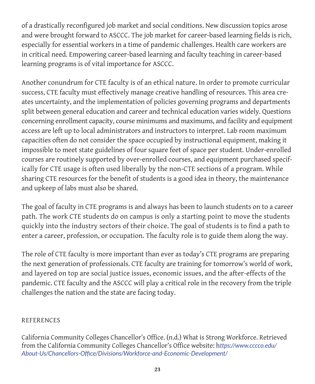of a drastically reconfigured job market and social conditions. New discussion topics arose and were brought forward to ASCCC. The job market for career-based learning fields is rich, especially for essential workers in a time of pandemic challenges. Health care workers are in critical need. Empowering career-based learning and faculty teaching in career-based learning programs is of vital importance for ASCCC.

Another conundrum for CTE faculty is of an ethical nature. In order to promote curricular success, CTE faculty must effectively manage creative handling of resources. This area creates uncertainty, and the implementation of policies governing programs and departments split between general education and career and technical education varies widely. Questions concerning enrollment capacity, course minimums and maximums, and facility and equipment access are left up to local administrators and instructors to interpret. Lab room maximum capacities often do not consider the space occupied by instructional equipment, making it impossible to meet state guidelines of four square feet of space per student. Under-enrolled courses are routinely supported by over-enrolled courses, and equipment purchased specifically for CTE usage is often used liberally by the non-CTE sections of a program. While sharing CTE resources for the benefit of students is a good idea in theory, the maintenance and upkeep of labs must also be shared.

The goal of faculty in CTE programs is and always has been to launch students on to a career path. The work CTE students do on campus is only a starting point to move the students quickly into the industry sectors of their choice. The goal of students is to find a path to enter a career, profession, or occupation. The faculty role is to guide them along the way.

The role of CTE faculty is more important than ever as today's CTE programs are preparing the next generation of professionals. CTE faculty are training for tomorrow's world of work, and layered on top are social justice issues, economic issues, and the after-effects of the pandemic. CTE faculty and the ASCCC will play a critical role in the recovery from the triple challenges the nation and the state are facing today.

#### REFERENCES

California Community Colleges Chancellor's Office. (n.d.) What is Strong Workforce. Retrieved from the California Community Colleges Chancellor's Office website: h*ttps://www.cccco.edu/ About-Us/Chancellors-Office/Divisions/Workforce-and-Economic-Development/*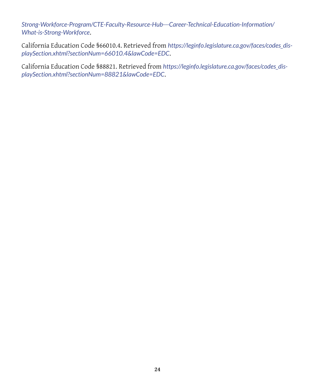*Strong-Workforce-Program/CTE-Faculty-Resource-Hub---Career-Technical-Education-Information/ What-is-Strong-Workforce*.

California Education Code §66010.4. Retrieved from *https://leginfo.legislature.ca.gov/faces/codes\_displaySection.xhtml?sectionNum=66010.4&lawCode=EDC*.

California Education Code §88821. Retrieved from *https://leginfo.legislature.ca.gov/faces/codes\_displaySection.xhtml?sectionNum=88821&lawCode=EDC*.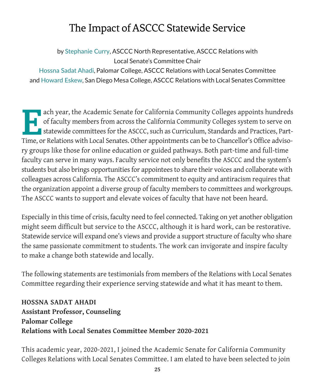### The Impact of ASCCC Statewide Service

by Stephanie Curry, ASCCC North Representative, ASCCC Relations with Local Senate's Committee Chair

Hossna Sadat Ahadi, Palomar College, ASCCC Relations with Local Senates Committee and Howard Eskew, San Diego Mesa College, ASCCC Relations with Local Senates Committee

ach year, the Academic Senate for California Community Colleges appoints hundreds<br>of faculty members from across the California Community Colleges system to serve on<br>statewide committees for the ASCCC, such as Curriculum, of faculty members from across the California Community Colleges system to serve on statewide committees for the ASCCC, such as Curriculum, Standards and Practices, Part-Time, or Relations with Local Senates. Other appointments can be to Chancellor's Office advisory groups like those for online education or guided pathways. Both part-time and full-time faculty can serve in many ways. Faculty service not only benefits the ASCCC and the system's students but also brings opportunities for appointees to share their voices and collaborate with colleagues across California. The ASCCC's commitment to equity and antiracism requires that the organization appoint a diverse group of faculty members to committees and workgroups. The ASCCC wants to support and elevate voices of faculty that have not been heard.

Especially in this time of crisis, faculty need to feel connected. Taking on yet another obligation might seem difficult but service to the ASCCC, although it is hard work, can be restorative. Statewide service will expand one's views and provide a support structure of faculty who share the same passionate commitment to students. The work can invigorate and inspire faculty to make a change both statewide and locally.

The following statements are testimonials from members of the Relations with Local Senates Committee regarding their experience serving statewide and what it has meant to them.

#### **HOSSNA SADAT AHADI Assistant Professor, Counseling Palomar College Relations with Local Senates Committee Member 2020-2021**

This academic year, 2020-2021, I joined the Academic Senate for California Community Colleges Relations with Local Senates Committee. I am elated to have been selected to join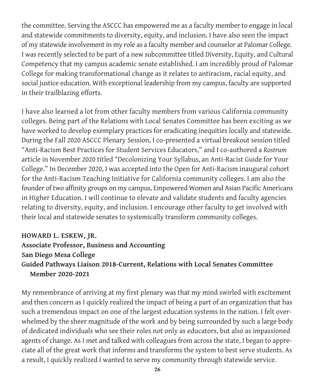the committee. Serving the ASCCC has empowered me as a faculty member to engage in local and statewide commitments to diversity, equity, and inclusion. I have also seen the impact of my statewide involvement in my role as a faculty member and counselor at Palomar College. I was recently selected to be part of a new subcommittee titled Diversity, Equity, and Cultural Competency that my campus academic senate established. I am incredibly proud of Palomar College for making transformational change as it relates to antiracism, racial equity, and social justice education. With exceptional leadership from my campus, faculty are supported in their trailblazing efforts.

I have also learned a lot from other faculty members from various California community colleges. Being part of the Relations with Local Senates Committee has been exciting as we have worked to develop exemplary practices for eradicating inequities locally and statewide. During the Fall 2020 ASCCC Plenary Session, I co-presented a virtual breakout session titled "Anti-Racism Best Practices for Student Services Educators," and I co-authored a *Rostrum* article in November 2020 titled "Decolonizing Your Syllabus, an Anti-Racist Guide for Your College." In December 2020, I was accepted into the Open for Anti-Racism inaugural cohort for the Anti-Racism Teaching Initiative for California community colleges. I am also the founder of two affinity groups on my campus, Empowered Women and Asian Pacific Americans in Higher Education. I will continue to elevate and validate students and faculty agencies relating to diversity, equity, and inclusion. I encourage other faculty to get involved with their local and statewide senates to systemically transform community colleges.

#### **HOWARD L. ESKEW, JR.**

**Associate Professor, Business and Accounting San Diego Mesa College Guided Pathways Liaison 2018-Current, Relations with Local Senates Committee Member 2020-2021**

My remembrance of arriving at my first plenary was that my mind swirled with excitement and then concern as I quickly realized the impact of being a part of an organization that has such a tremendous impact on one of the largest education systems in the nation. I felt overwhelmed by the sheer magnitude of the work and by being surrounded by such a large body of dedicated individuals who see their roles not only as educators, but also as impassioned agents of change. As I met and talked with colleagues from across the state, I began to appreciate all of the great work that informs and transforms the system to best serve students. As a result, I quickly realized I wanted to serve my community through statewide service.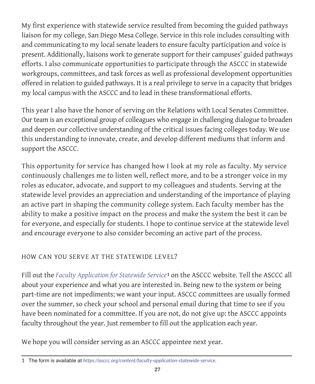My first experience with statewide service resulted from becoming the guided pathways liaison for my college, San Diego Mesa College. Service in this role includes consulting with and communicating to my local senate leaders to ensure faculty participation and voice is present. Additionally, liaisons work to generate support for their campuses' guided pathways efforts. I also communicate opportunities to participate through the ASCCC in statewide workgroups, committees, and task forces as well as professional development opportunities offered in relation to guided pathways. It is a real privilege to serve in a capacity that bridges my local campus with the ASCCC and to lead in these transformational efforts.

This year I also have the honor of serving on the Relations with Local Senates Committee. Our team is an exceptional group of colleagues who engage in challenging dialogue to broaden and deepen our collective understanding of the critical issues facing colleges today. We use this understanding to innovate, create, and develop different mediums that inform and support the ASCCC.

This opportunity for service has changed how I look at my role as faculty. My service continuously challenges me to listen well, reflect more, and to be a stronger voice in my roles as educator, advocate, and support to my colleagues and students. Serving at the statewide level provides an appreciation and understanding of the importance of playing an active part in shaping the community college system. Each faculty member has the ability to make a positive impact on the process and make the system the best it can be for everyone, and especially for students. I hope to continue service at the statewide level and encourage everyone to also consider becoming an active part of the process.

#### HOW CAN YOU SERVE AT THE STATEWIDE LEVEL?

Fill out the *Faculty Application for Statewide Service***1** on the ASCCC website. Tell the ASCCC all about your experience and what you are interested in. Being new to the system or being part-time are not impediments; we want your input. ASCCC committees are usually formed over the summer, so check your school and personal email during that time to see if you have been nominated for a committee. If you are not, do not give up: the ASCCC appoints faculty throughout the year. Just remember to fill out the application each year.

We hope you will consider serving as an ASCCC appointee next year.

<sup>1</sup> The form is available at *https://asccc.org/content/faculty-application-statewide-service.*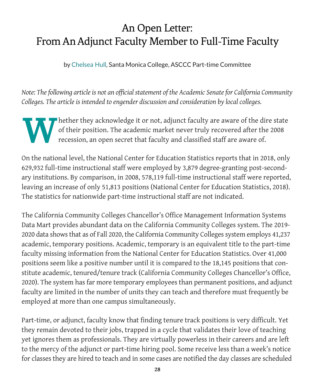### An Open Letter: From An Adjunct Faculty Member to Full-Time Faculty

by Chelsea Hull, Santa Monica College, ASCCC Part-time Committee

*Note: The following article is not an official statement of the Academic Senate for California Community Colleges. The article is intended to engender discussion and consideration by local colleges.*

Whether they acknowledge it or not, adjunct faculty are aware of the dire state of their position. The academic market never truly recovered after the 2008 recession, an open secret that faculty and classified staff are aw of their position. The academic market never truly recovered after the 2008 recession, an open secret that faculty and classified staff are aware of.

On the national level, the National Center for Education Statistics reports that in 2018, only 629,932 full-time instructional staff were employed by 3,879 degree-granting post-secondary institutions. By comparison, in 2008, 578,119 full-time instructional staff were reported, leaving an increase of only 51,813 positions (National Center for Education Statistics, 2018). The statistics for nationwide part-time instructional staff are not indicated.

The California Community Colleges Chancellor's Office Management Information Systems Data Mart provides abundant data on the California Community Colleges system. The 2019- 2020 data shows that as of Fall 2020, the California Community Colleges system employs 41,237 academic, temporary positions. Academic, temporary is an equivalent title to the part-time faculty missing information from the National Center for Education Statistics. Over 41,000 positions seem like a positive number until it is compared to the 18,145 positions that constitute academic, tenured/tenure track (California Community Colleges Chancellor's Office, 2020). The system has far more temporary employees than permanent positions, and adjunct faculty are limited in the number of units they can teach and therefore must frequently be employed at more than one campus simultaneously.

Part-time, or adjunct, faculty know that finding tenure track positions is very difficult. Yet they remain devoted to their jobs, trapped in a cycle that validates their love of teaching yet ignores them as professionals. They are virtually powerless in their careers and are left to the mercy of the adjunct or part-time hiring pool. Some receive less than a week's notice for classes they are hired to teach and in some cases are notified the day classes are scheduled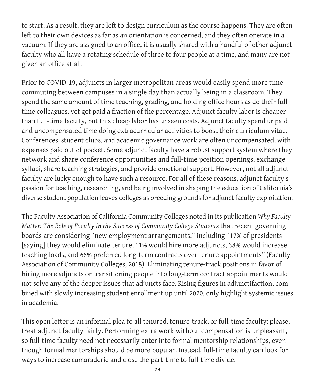to start. As a result, they are left to design curriculum as the course happens. They are often left to their own devices as far as an orientation is concerned, and they often operate in a vacuum. If they are assigned to an office, it is usually shared with a handful of other adjunct faculty who all have a rotating schedule of three to four people at a time, and many are not given an office at all.

Prior to COVID-19, adjuncts in larger metropolitan areas would easily spend more time commuting between campuses in a single day than actually being in a classroom. They spend the same amount of time teaching, grading, and holding office hours as do their fulltime colleagues, yet get paid a fraction of the percentage. Adjunct faculty labor is cheaper than full-time faculty, but this cheap labor has unseen costs. Adjunct faculty spend unpaid and uncompensated time doing extracurricular activities to boost their curriculum vitae. Conferences, student clubs, and academic governance work are often uncompensated, with expenses paid out of pocket. Some adjunct faculty have a robust support system where they network and share conference opportunities and full-time position openings, exchange syllabi, share teaching strategies, and provide emotional support. However, not all adjunct faculty are lucky enough to have such a resource. For all of these reasons, adjunct faculty's passion for teaching, researching, and being involved in shaping the education of California's diverse student population leaves colleges as breeding grounds for adjunct faculty exploitation.

The Faculty Association of California Community Colleges noted in its publication *Why Faculty Matter: The Role of Faculty in the Success of Community College Students that recent governing* boards are considering "new employment arrangements," including "17% of presidents [saying] they would eliminate tenure, 11% would hire more adjuncts, 38% would increase teaching loads, and 66% preferred long-term contracts over tenure appointments" (Faculty Association of Community Colleges, 2018). Eliminating tenure-track positions in favor of hiring more adjuncts or transitioning people into long-term contract appointments would not solve any of the deeper issues that adjuncts face. Rising figures in adjunctifaction, combined with slowly increasing student enrollment up until 2020, only highlight systemic issues in academia.

This open letter is an informal plea to all tenured, tenure-track, or full-time faculty: please, treat adjunct faculty fairly. Performing extra work without compensation is unpleasant, so full-time faculty need not necessarily enter into formal mentorship relationships, even though formal mentorships should be more popular. Instead, full-time faculty can look for ways to increase camaraderie and close the part-time to full-time divide.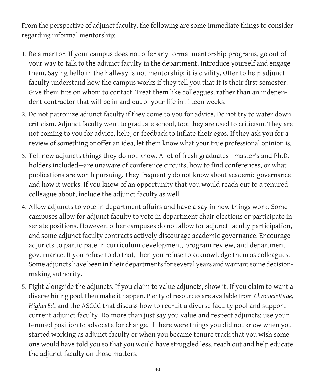From the perspective of adjunct faculty, the following are some immediate things to consider regarding informal mentorship:

- 1. Be a mentor. If your campus does not offer any formal mentorship programs, go out of your way to talk to the adjunct faculty in the department. Introduce yourself and engage them. Saying hello in the hallway is not mentorship; it is civility. Offer to help adjunct faculty understand how the campus works if they tell you that it is their first semester. Give them tips on whom to contact. Treat them like colleagues, rather than an independent contractor that will be in and out of your life in fifteen weeks.
- 2. Do not patronize adjunct faculty if they come to you for advice. Do not try to water down criticism. Adjunct faculty went to graduate school, too; they are used to criticism. They are not coming to you for advice, help, or feedback to inflate their egos. If they ask you for a review of something or offer an idea, let them know what your true professional opinion is.
- 3. Tell new adjuncts things they do not know. A lot of fresh graduates—master's and Ph.D. holders included—are unaware of conference circuits, how to find conferences, or what publications are worth pursuing. They frequently do not know about academic governance and how it works. If you know of an opportunity that you would reach out to a tenured colleague about, include the adjunct faculty as well.
- 4. Allow adjuncts to vote in department affairs and have a say in how things work. Some campuses allow for adjunct faculty to vote in department chair elections or participate in senate positions. However, other campuses do not allow for adjunct faculty participation, and some adjunct faculty contracts actively discourage academic governance. Encourage adjuncts to participate in curriculum development, program review, and department governance. If you refuse to do that, then you refuse to acknowledge them as colleagues. Some adjuncts have been in their departments for several years and warrant some decisionmaking authority.
- 5. Fight alongside the adjuncts. If you claim to value adjuncts, show it. If you claim to want a diverse hiring pool, then make it happen. Plenty of resources are available from *ChronicleVitae, HigherEd*, and the ASCCC that discuss how to recruit a diverse faculty pool and support current adjunct faculty. Do more than just say you value and respect adjuncts: use your tenured position to advocate for change. If there were things you did not know when you started working as adjunct faculty or when you became tenure track that you wish someone would have told you so that you would have struggled less, reach out and help educate the adjunct faculty on those matters.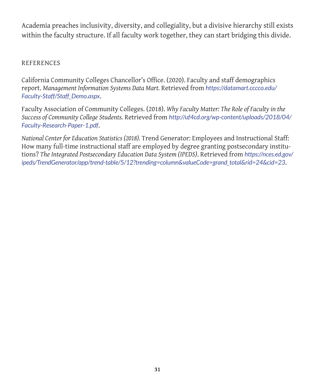Academia preaches inclusivity, diversity, and collegiality, but a divisive hierarchy still exists within the faculty structure. If all faculty work together, they can start bridging this divide.

#### REFERENCES

California Community Colleges Chancellor's Office. (2020). Faculty and staff demographics report. *Management Information Systems Data Mart.* Retrieved from *https://datamart.cccco.edu/ Faculty-Staff/Staff\_Demo.aspx*.

Faculty Association of Community Colleges. (2018). *Why Faculty Matter: The Role of Faculty in the Success of Community College Students.* Retrieved from *http://uf4cd.org/wp-content/uploads/2018/04/ Faculty-Research-Paper-1.pdf*.

*National Center for Education Statistics (2018).* Trend Generator: Employees and Instructional Staff: How many full-time instructional staff are employed by degree granting postsecondary institutions? *The Integrated Postsecondary Education Data System (IPEDS)*. Retrieved from *https://nces.ed.gov/ ipeds/TrendGenerator/app/trend-table/5/12?trending=column&valueCode=grand\_total&rid=24&cid=23*.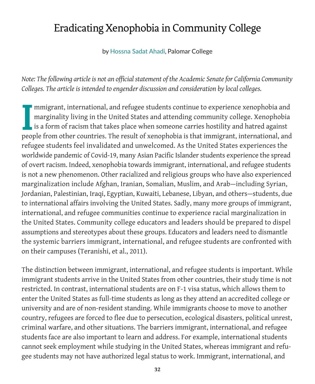### Eradicating Xenophobia in Community College

by Hossna Sadat Ahadi, Palomar College

*Note: The following article is not an official statement of the Academic Senate for California Community Colleges. The article is intended to engender discussion and consideration by local colleges.*

I mmigrant, international, and refugee students continue to experience xenophobia and marginality living in the United States and attending community college. Xenophobia is a form of racism that takes place when someone carries hostility and hatred against people from other countries. The result of xenophobia is that immigrant, international, and refugee students feel invalidated and unwelcomed. As the United States experiences the worldwide pandemic of Covid-19, many Asian Pacific Islander students experience the spread of overt racism. Indeed, xenophobia towards immigrant, international, and refugee students is not a new phenomenon. Other racialized and religious groups who have also experienced marginalization include Afghan, Iranian, Somalian, Muslim, and Arab—including Syrian, Jordanian, Palestinian, Iraqi, Egyptian, Kuwaiti, Lebanese, Libyan, and others—students, due to international affairs involving the United States. Sadly, many more groups of immigrant, international, and refugee communities continue to experience racial marginalization in the United States. Community college educators and leaders should be prepared to dispel assumptions and stereotypes about these groups. Educators and leaders need to dismantle the systemic barriers immigrant, international, and refugee students are confronted with on their campuses (Teranishi, et al., 2011).

The distinction between immigrant, international, and refugee students is important. While immigrant students arrive in the United States from other countries, their study time is not restricted. In contrast, international students are on F-1 visa status, which allows them to enter the United States as full-time students as long as they attend an accredited college or university and are of non-resident standing. While immigrants choose to move to another country, refugees are forced to flee due to persecution, ecological disasters, political unrest, criminal warfare, and other situations. The barriers immigrant, international, and refugee students face are also important to learn and address. For example, international students cannot seek employment while studying in the United States, whereas immigrant and refugee students may not have authorized legal status to work. Immigrant, international, and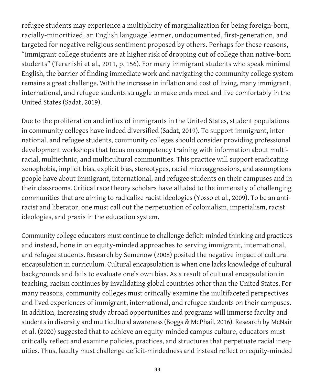refugee students may experience a multiplicity of marginalization for being foreign-born, racially-minoritized, an English language learner, undocumented, first-generation, and targeted for negative religious sentiment proposed by others. Perhaps for these reasons, "immigrant college students are at higher risk of dropping out of college than native-born students" (Teranishi et al., 2011, p. 156). For many immigrant students who speak minimal English, the barrier of finding immediate work and navigating the community college system remains a great challenge. With the increase in inflation and cost of living, many immigrant, international, and refugee students struggle to make ends meet and live comfortably in the United States (Sadat, 2019).

Due to the proliferation and influx of immigrants in the United States, student populations in community colleges have indeed diversified (Sadat, 2019). To support immigrant, international, and refugee students, community colleges should consider providing professional development workshops that focus on competency training with information about multiracial, multiethnic, and multicultural communities. This practice will support eradicating xenophobia, implicit bias, explicit bias, stereotypes, racial microaggressions, and assumptions people have about immigrant, international, and refugee students on their campuses and in their classrooms. Critical race theory scholars have alluded to the immensity of challenging communities that are aiming to radicalize racist ideologies (Yosso et al., 2009). To be an antiracist and liberator, one must call out the perpetuation of colonialism, imperialism, racist ideologies, and praxis in the education system.

Community college educators must continue to challenge deficit-minded thinking and practices and instead, hone in on equity-minded approaches to serving immigrant, international, and refugee students. Research by Semenow (2008) posited the negative impact of cultural encapsulation in curriculum. Cultural encapsulation is when one lacks knowledge of cultural backgrounds and fails to evaluate one's own bias. As a result of cultural encapsulation in teaching, racism continues by invalidating global countries other than the United States. For many reasons, community colleges must critically examine the multifaceted perspectives and lived experiences of immigrant, international, and refugee students on their campuses. In addition, increasing study abroad opportunities and programs will immerse faculty and students in diversity and multicultural awareness (Boggs & McPhail, 2016). Research by McNair et al. (2020) suggested that to achieve an equity-minded campus culture, educators must critically reflect and examine policies, practices, and structures that perpetuate racial inequities. Thus, faculty must challenge deficit-mindedness and instead reflect on equity-minded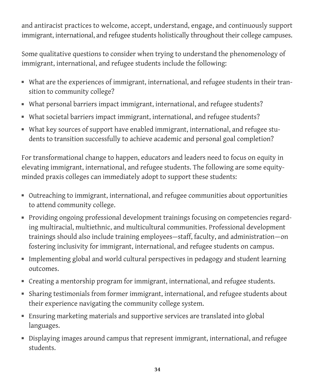and antiracist practices to welcome, accept, understand, engage, and continuously support immigrant, international, and refugee students holistically throughout their college campuses.

Some qualitative questions to consider when trying to understand the phenomenology of immigrant, international, and refugee students include the following:

- What are the experiences of immigrant, international, and refugee students in their transition to community college?
- What personal barriers impact immigrant, international, and refugee students?
- What societal barriers impact immigrant, international, and refugee students?
- What key sources of support have enabled immigrant, international, and refugee students to transition successfully to achieve academic and personal goal completion?

For transformational change to happen, educators and leaders need to focus on equity in elevating immigrant, international, and refugee students. The following are some equityminded praxis colleges can immediately adopt to support these students:

- Outreaching to immigrant, international, and refugee communities about opportunities to attend community college.
- Providing ongoing professional development trainings focusing on competencies regarding multiracial, multiethnic, and multicultural communities. Professional development trainings should also include training employees—staff, faculty, and administration—on fostering inclusivity for immigrant, international, and refugee students on campus.
- Implementing global and world cultural perspectives in pedagogy and student learning outcomes.
- Creating a mentorship program for immigrant, international, and refugee students.
- Sharing testimonials from former immigrant, international, and refugee students about their experience navigating the community college system.
- Ensuring marketing materials and supportive services are translated into global languages.
- Displaying images around campus that represent immigrant, international, and refugee students.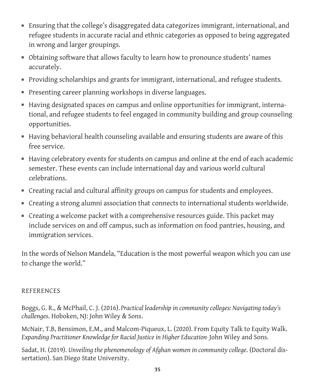- Ensuring that the college's disaggregated data categorizes immigrant, international, and refugee students in accurate racial and ethnic categories as opposed to being aggregated in wrong and larger groupings.
- Obtaining software that allows faculty to learn how to pronounce students' names accurately.
- Providing scholarships and grants for immigrant, international, and refugee students.
- Presenting career planning workshops in diverse languages.
- Having designated spaces on campus and online opportunities for immigrant, international, and refugee students to feel engaged in community building and group counseling opportunities.
- Having behavioral health counseling available and ensuring students are aware of this free service.
- Having celebratory events for students on campus and online at the end of each academic semester. These events can include international day and various world cultural celebrations.
- Creating racial and cultural affinity groups on campus for students and employees.
- Creating a strong alumni association that connects to international students worldwide.
- Creating a welcome packet with a comprehensive resources guide. This packet may include services on and off campus, such as information on food pantries, housing, and immigration services.

In the words of Nelson Mandela, "Education is the most powerful weapon which you can use to change the world."

#### REFERENCES

Boggs, G. R., & McPhail, C. J. (2016).*Practical leadership in community colleges: Navigating today's challenges*. Hoboken, NJ: John Wiley & Sons.

McNair, T.B, Bensimon, E.M., and Malcom-Piqueux, L. (2020). From Equity Talk to Equity Walk. *Expanding Practitioner Knowledge for Racial Justice in Higher Education***.** John Wiley and Sons.

Sadat, H. (2019). *Unveiling the phenomenology of Afghan women in community college*. (Doctoral dissertation). San Diego State University.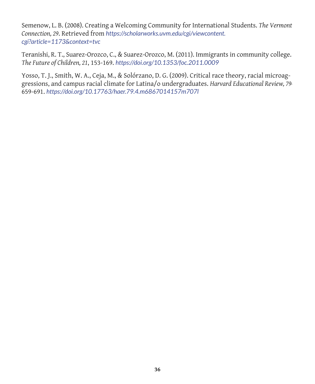Semenow, L. B. (2008). Creating a Welcoming Community for International Students. *The Vermont Connection, 29*. Retrieved from *https://scholarworks.uvm.edu/cgi/viewcontent. cgi?article=1173&context=tvc*

Teranishi, R. T., Suarez-Orozco, C., & Suarez-Orozco, M. (2011). Immigrants in community college. *The Future of Children, 21*, 153-169. *https://doi.org/10.1353/foc.2011.0009*

Yosso, T. J., Smith, W. A., Ceja, M., & Solórzano, D. G. (2009). Critical race theory, racial microaggressions, and campus racial climate for Latina/o undergraduates. *Harvard Educational Review, 79***,**  659-691. *https://doi.org/10.17763/haer.79.4.m6867014157m707l*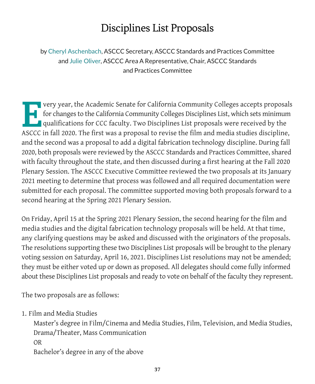### Disciplines List Proposals

by Cheryl Aschenbach, ASCCC Secretary, ASCCC Standards and Practices Committee and Julie Oliver, ASCCC Area A Representative, Chair, ASCCC Standards and Practices Committee

Very year, the Academic Senate for California Community Colleges accepts proposals<br>for changes to the California Community Colleges Disciplines List, which sets minimum<br>qualifications for CCC faculty. Two Disciplines List for changes to the California Community Colleges Disciplines List, which sets minimum qualifications for CCC faculty. Two Disciplines List proposals were received by the ASCCC in fall 2020. The first was a proposal to revise the film and media studies discipline, and the second was a proposal to add a digital fabrication technology discipline. During fall 2020, both proposals were reviewed by the ASCCC Standards and Practices Committee, shared with faculty throughout the state, and then discussed during a first hearing at the Fall 2020 Plenary Session. The ASCCC Executive Committee reviewed the two proposals at its January 2021 meeting to determine that process was followed and all required documentation were submitted for each proposal. The committee supported moving both proposals forward to a second hearing at the Spring 2021 Plenary Session.

On Friday, April 15 at the Spring 2021 Plenary Session, the second hearing for the film and media studies and the digital fabrication technology proposals will be held. At that time, any clarifying questions may be asked and discussed with the originators of the proposals. The resolutions supporting these two Disciplines List proposals will be brought to the plenary voting session on Saturday, April 16, 2021. Disciplines List resolutions may not be amended; they must be either voted up or down as proposed. All delegates should come fully informed about these Disciplines List proposals and ready to vote on behalf of the faculty they represent.

The two proposals are as follows:

1. Film and Media Studies

Master's degree in Film/Cinema and Media Studies, Film, Television, and Media Studies, Drama/Theater, Mass Communication OR Bachelor's degree in any of the above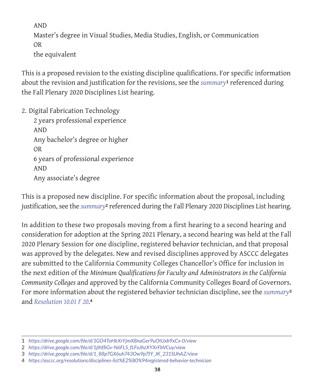AND

Master's degree in Visual Studies, Media Studies, English, or Communication OR the equivalent

This is a proposed revision to the existing discipline qualifications. For specific information about the revision and justification for the revisions, see the *summary***1** referenced during the Fall Plenary 2020 Disciplines List hearing.

2. Digital Fabrication Technology

2 years professional experience AND Any bachelor's degree or higher OR 6 years of professional experience AND Any associate's degree

This is a proposed new discipline. For specific information about the proposal, including justification, see the *summary***2** referenced during the Fall Plenary 2020 Disciplines List hearing.

In addition to these two proposals moving from a first hearing to a second hearing and consideration for adoption at the Spring 2021 Plenary, a second hearing was held at the Fall 2020 Plenary Session for one discipline, registered behavior technician, and that proposal was approved by the delegates. New and revised disciplines approved by ASCCC delegates are submitted to the California Community Colleges Chancellor's Office for inclusion in the next edition of the *Minimum Qualifications for Faculty and Administrators in the California Community Colleges* and approved by the California Community Colleges Board of Governors. For more information about the registered behavior technician discipline, see the *summary***<sup>3</sup>** and *Resolution 10.01 F 20*.**<sup>4</sup>**

<sup>1</sup> *https://drive.google.com/file/d/1GO4ToHkXrYjmX8naGer9uOtUxb9xCx-0/view*

<sup>2</sup> *https://drive.google.com/file/d/1jthffiGv-N6FLS\_fLFoJhzXYXrFbVCuy/view*

<sup>3</sup> *https://drive.google.com/file/d/1\_88p7GX6uh743Ow9p7fY\_JK\_231SUhAZ/view*

<sup>4</sup> *https://asccc.org/resolutions/disciplines-list%E2%80%94registered-behavior-technician*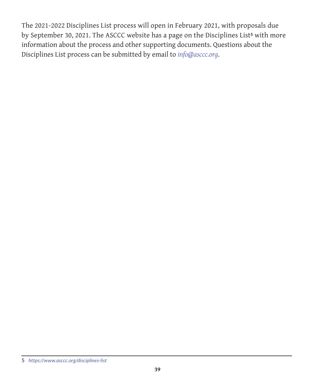The 2021-2022 Disciplines List process will open in February 2021, with proposals due by September 30, 2021. The ASCCC website has a page on the Disciplines List**5** with more information about the process and other supporting documents. Questions about the Disciplines List process can be submitted by email to *info@asccc.org*.

<sup>5</sup> *https://www.asccc.org/disciplines-list*